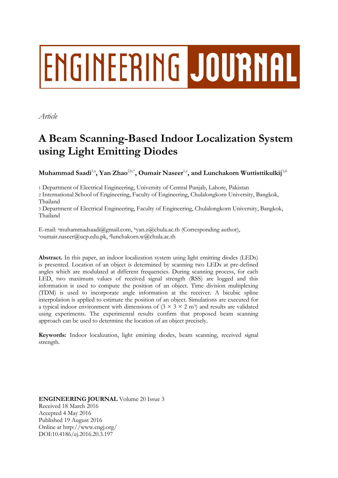# ENGINEERING JOURNAL

*Article*

# **A Beam Scanning-Based Indoor Localization System using Light Emitting Diodes**

 $\mathbf{M}$ uhammad Saadi $^{1, \mathsf{a}}, \mathbf{Y}$ an Zhao $^{2, \mathsf{b}, \ast}, \mathbf{O}$ umair Naseer $^{1, \mathsf{c}},$  and Lunchakorn Wuttisttikulkij $^{3, \mathsf{d}}$ 

1 Department of Electrical Engineering, University of Central Punjab, Lahore, Pakistan

2 International School of Engineering, Faculty of Engineering, Chulalongkorn University, Bangkok, Thailand

3 Department of Electrical Engineering, Faculty of Engineering, Chulalongkorn University, Bangkok, Thailand

E-mail: <sup>a</sup>muhammadsaadi@gmail.com, <sup>b</sup>yan.z@chula.ac.th (Corresponding author), <sup>c</sup>oumair.naseer@ucp.edu.pk, <sup>d</sup>lunchakorn.w@chula.ac.th

**Abstract.** In this paper, an indoor localization system using light emitting diodes (LEDs) is presented. Location of an object is determined by scanning two LEDs at pre-defined angles which are modulated at different frequencies. During scanning process, for each LED, two maximum values of received signal strength (RSS) are logged and this information is used to compute the position of an object. Time division multiplexing (TDM) is used to incorporate angle information at the receiver. A bicubic spline interpolation is applied to estimate the position of an object. Simulations are executed for a typical indoor environment with dimensions of  $(3 \times 3 \times 2 \text{ m}^3)$  and results are validated using experiments. The experimental results confirm that proposed beam scanning approach can be used to determine the location of an object precisely.

**Keywords:** Indoor localization, light emitting diodes, beam scanning, received signal strength.

**ENGINEERING JOURNAL** Volume 20 Issue 3 Received 18 March 2016 Accepted 4 May 2016 Published 19 August 2016 Online at http://www.engj.org/ DOI:10.4186/ej.2016.20.3.197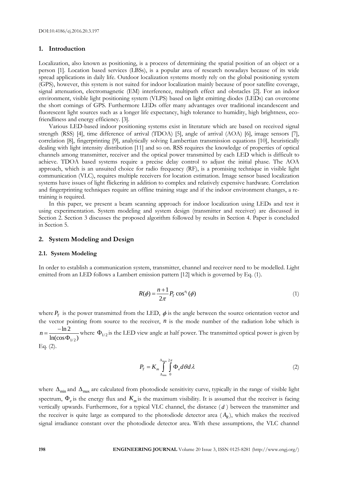# **1. Introduction**

Localization, also known as positioning, is a process of determining the spatial position of an object or a person [1]. Location based services (LBSs), is a popular area of research nowadays because of its wide spread applications in daily life. Outdoor localization systems mostly rely on the global positioning system (GPS), however, this system is not suited for indoor localization mainly because of poor satellite coverage, signal attenuation, electromagnetic (EM) interference, multipath effect and obstacles [2]. For an indoor environment, visible light positioning system (VLPS) based on light emitting diodes (LEDs) can overcome the short comings of GPS. Furthermore LEDs offer many advantages over traditional incandescent and fluorescent light sources such as a longer life expectancy, high tolerance to humidity, high brightness, ecofriendliness and energy efficiency. [3].

Various LED-based indoor positioning systems exist in literature which are based on received signal strength (RSS) [4], time difference of arrival (TDOA) [5], angle of arrival (AOA) [6], image sensors [7], correlation [8], fingerprinting [9], analytically solving Lambertian transmission equations [10], heuristically dealing with light intensity distribution [11] and so on. RSS requires the knowledge of properties of optical channels among transmitter, receiver and the optical power transmitted by each LED which is difficult to achieve. TDOA based systems require a precise delay control to adjust the initial phase. The AOA approach, which is an unsuited choice for radio frequency (RF), is a promising technique in visible light communication (VLC), requires multiple receivers for location estimation. Image sensor based localization systems have issues of light flickering in addition to complex and relatively expensive hardware. Correlation and fingerprinting techniques require an offline training stage and if the indoor environment changes, a retraining is required.

In this paper, we present a beam scanning approach for indoor localization using LEDs and test it using experimentation. System modeling and system design (transmitter and receiver) are discussed in Section 2. Section 3 discusses the proposed algorithm followed by results in Section 4. Paper is concluded in Section 5.

### **2. System Modeling and Design**

#### **2.1. System Modeling**

In order to establish a communication system, transmitter, channel and receiver need to be modelled. Light emitted from an LED follows a Lambert emission pattern [12] which is governed by Eq. (1).

$$
R(\phi) = \frac{n+1}{2\pi} P_T \cos^{n_I}(\phi)
$$
 (1)

where  $P_T$  is the power transmitted from the LED,  $\phi$  is the angle between the source orientation vector and the vector pointing from source to the receiver,  $n$  is the mode number of the radiation lobe which is 1/ 2 ln 2  $ln(cos \Phi_{1/2})$  $n=\frac{-}{\sqrt{2}}$  $\frac{12}{\Phi_{1/2}}$  where  $\Phi_{1/2}$  is the LED view angle at half power. The transmitted optical power is given by

Eq. (2).

$$
P_T = K_m \int_{\Delta_{\min}}^{\Delta_{\max}} \int_0^2 \Phi_e d\theta d\lambda \tag{2}
$$

where  $\Delta_{min}$  and  $\Delta_{max}$  are calculated from photodiode sensitivity curve, typically in the range of visible light spectrum,  $\Phi_e$  is the energy flux and  $K_m$  is the maximum visibility. It is assumed that the receiver is facing vertically upwards. Furthermore, for a typical VLC channel, the distance ( *d* ) between the transmitter and the receiver is quite large as compared to the photodiode detector area  $(A_R)$ , which makes the received signal irradiance constant over the photodiode detector area. With these assumptions, the VLC channel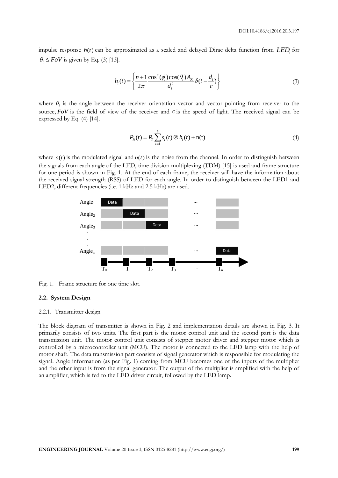impulse response  $h(t)$  can be approximated as a scaled and delayed Dirac delta function from  $LED_i$  for  $\theta_i \leq FoV$  is given by Eq. (3) [13].

$$
h_i(t) = \left\{ \frac{n+1}{2\pi} \frac{\cos^n(\phi_i)\cos(\theta_i)A_R}{d_i^2} \delta(t - \frac{d_i}{c}) \right\}
$$
(3)

where  $\theta_i$  is the angle between the receiver orientation vector and vector pointing from receiver to the source,  $FoV$  is the field of view of the receiver and  $c$  is the speed of light. The received signal can be expressed by Eq. (4) [14].

$$
P_R(t) = P_T \sum_{i=1}^{k} s_i(t) \otimes h_i(t) + \mathbf{n}(t)
$$
\n(4)

where  $s(t)$  is the modulated signal and  $n(t)$  is the noise from the channel. In order to distinguish between the signals from each angle of the LED, time division multiplexing (TDM) [15] is used and frame structure for one period is shown in Fig. 1. At the end of each frame, the receiver will have the information about the received signal strength (RSS) of LED for each angle. In order to distinguish between the LED1 and LED2, different frequencies (i.e. 1 kHz and 2.5 kHz) are used.



Fig. 1. Frame structure for one time slot.

#### **2.2. System Design**

#### 2.2.1. Transmitter design

The block diagram of transmitter is shown in Fig. 2 and implementation details are shown in Fig. 3. It primarily consists of two units. The first part is the motor control unit and the second part is the data transmission unit. The motor control unit consists of stepper motor driver and stepper motor which is controlled by a microcontroller unit (MCU). The motor is connected to the LED lamp with the help of motor shaft. The data transmission part consists of signal generator which is responsible for modulating the signal. Angle information (as per Fig. 1) coming from MCU becomes one of the inputs of the multiplier and the other input is from the signal generator. The output of the multiplier is amplified with the help of an amplifier, which is fed to the LED driver circuit, followed by the LED lamp.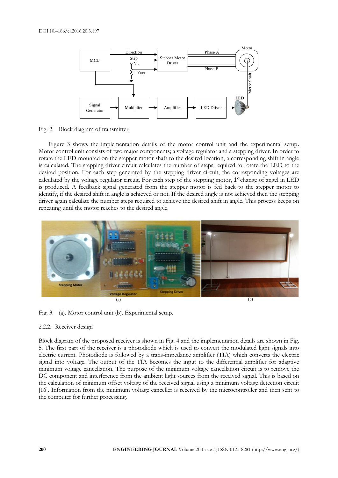

Fig. 2. Block diagram of transmitter.

Figure 3 shows the implementation details of the motor control unit and the experimental setup. Motor control unit consists of two major components; a voltage regulator and a stepping driver. In order to rotate the LED mounted on the stepper motor shaft to the desired location, a corresponding shift in angle is calculated. The stepping driver circuit calculates the number of steps required to rotate the LED to the desired position. For each step generated by the stepping driver circuit, the corresponding voltages are calculated by the voltage regulator circuit. For each step of the stepping motor,  $1^o$  change of angel in LED is produced. A feedback signal generated from the stepper motor is fed back to the stepper motor to identify, if the desired shift in angle is achieved or not. If the desired angle is not achieved then the stepping driver again calculate the number steps required to achieve the desired shift in angle. This process keeps on repeating until the motor reaches to the desired angle.



Fig. 3. (a). Motor control unit (b). Experimental setup.

### 2.2.2. Receiver design

Block diagram of the proposed receiver is shown in Fig. 4 and the implementation details are shown in Fig. 5. The first part of the receiver is a photodiode which is used to convert the modulated light signals into electric current. Photodiode is followed by a trans-impedance amplifier (TIA) which converts the electric signal into voltage. The output of the TIA becomes the input to the differential amplifier for adaptive minimum voltage cancellation. The purpose of the minimum voltage cancellation circuit is to remove the DC component and interference from the ambient light sources from the received signal. This is based on the calculation of minimum offset voltage of the received signal using a minimum voltage detection circuit [16]. Information from the minimum voltage canceller is received by the microcontroller and then sent to the computer for further processing.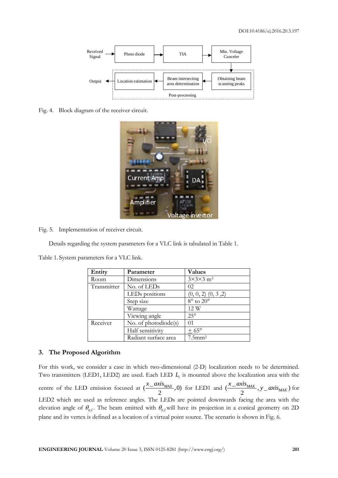

Fig. 4. Block diagram of the receiver circuit.



Fig. 5. Implementation of receiver circuit.

Details regarding the system parameters for a VLC link is tabulated in Table 1.

Table 1. System parameters for a VLC link.

| Entity      | Parameter                  | <b>Values</b>                    |
|-------------|----------------------------|----------------------------------|
| Room        | Dimensions                 | $3\times3\times3$ m <sup>3</sup> |
| Transmitter | No. of LEDs                | 02                               |
|             | LED <sub>s</sub> positions | $(0, 0, 2)$ $(0, 3, 2)$          |
|             | Step size                  | $8^{\circ}$ to $20^{\circ}$      |
|             | Wattage                    | 12 W                             |
|             | Viewing angle              | $25^\circ$                       |
| Receiver    | No. of photodiode(s)       | 01                               |
|             | Half sensitivity           | $+65^{\circ}$                    |
|             | Radiant surface area       | $7.5$ mm <sup>2</sup>            |

# **3. The Proposed Algorithm**

For this work, we consider a case in which two-dimensional (2-D) localization needs to be determined. Two transmitters (LED1, LED2) are used. Each LED *Li* is mounted above the localization area with the centre of the LED emission focused at  $\left(\frac{x_{\text{max}}}{2}, 0\right)$ 2  $\frac{x\_axis_{MAX}}{2}$ ,0) for LED1 and  $\left(\frac{x\_axis_{MAX}}{2}, y\_axis_{MAX}\right)$  $\frac{x_{\text{max}}}{2}$ ,  $y_{\text{max}}$  *x*  $\frac{y_{\text{max}}}{x}$  for LED2 which are used as reference angles. The LEDs are pointed downwards facing the area with the elevation angle of  $\theta_{e,i}$ . The beam emitted with  $\theta_{e,i}$  will have its projection in a conical geometry on 2D plane and its vertex is defined as a location of a virtual point source. The scenario is shown in Fig. 6.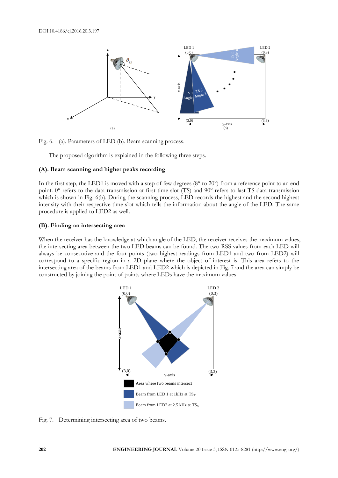

Fig. 6. (a). Parameters of LED (b). Beam scanning process.

The proposed algorithm is explained in the following three steps.

#### **(A). Beam scanning and higher peaks recording**

In the first step, the LED1 is moved with a step of few degrees ( $8^{\circ}$  to  $20^{\circ}$ ) from a reference point to an end point. 0° refers to the data transmission at first time slot (TS) and 90° refers to last TS data transmission which is shown in Fig.  $6(b)$ . During the scanning process, LED records the highest and the second highest intensity with their respective time slot which tells the information about the angle of the LED. The same procedure is applied to LED2 as well.

#### **(B). Finding an intersecting area**

When the receiver has the knowledge at which angle of the LED, the receiver receives the maximum values, the intersecting area between the two LED beams can be found. The two RSS values from each LED will always be consecutive and the four points (two highest readings from LED1 and two from LED2) will correspond to a specific region in a 2D plane where the object of interest is. This area refers to the intersecting area of the beams from LED1 and LED2 which is depicted in Fig. 7 and the area can simply be constructed by joining the point of points where LEDs have the maximum values.



Fig. 7. Determining intersecting area of two beams.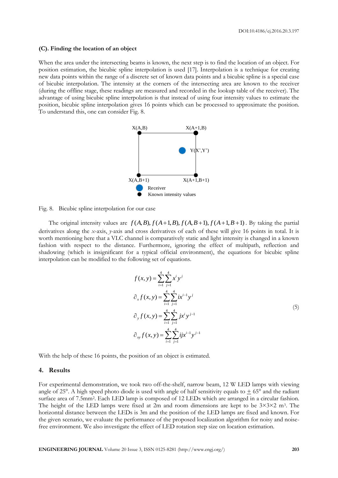#### **(C). Finding the location of an object**

When the area under the intersecting beams is known, the next step is to find the location of an object. For position estimation, the bicubic spline interpolation is used [17]. Interpolation is a technique for creating new data points within the range of a discrete set of known data points and a bicubic spline is a special case of bicubic interpolation. The intensity at the corners of the intersecting area are known to the receiver (during the offline stage, these readings are measured and recorded in the lookup table of the receiver). The advantage of using bicubic spline interpolation is that instead of using four intensity values to estimate the position, bicubic spline interpolation gives 16 points which can be processed to approximate the position. To understand this, one can consider Fig. 8.



Fig. 8. Bicubic spline interpolation for our case

The original intensity values are  $f(A, B), f(A+1, B), f(A, B+1), f(A+1, B+1)$ . By taking the partial derivatives along the *x*-axis, *y*-axis and cross derivatives of each of these will give 16 points in total. It is worth mentioning here that a VLC channel is comparatively static and light intensity is changed in a known fashion with respect to the distance. Furthermore, ignoring the effect of multipath, reflection and shadowing (which is insignificant for a typical official environment), the equations for bicubic spline interpolation can be modified to the following set of equations.

$$
f(x, y) = \sum_{i=1}^{4} \sum_{j=1}^{4} x^{i} y^{j}
$$
  
\n
$$
\partial_{x} f(x, y) = \sum_{i=1}^{4} \sum_{j=1}^{4} i x^{i-1} y^{j}
$$
  
\n
$$
\partial_{y} f(x, y) = \sum_{i=1}^{4} \sum_{j=1}^{4} j x^{i} y^{j-1}
$$
  
\n
$$
\partial_{xy} f(x, y) = \sum_{i=1}^{4} \sum_{j=1}^{4} i j x^{i-1} y^{j-1}
$$
\n(5)

With the help of these 16 points, the position of an object is estimated.

#### **4. Results**

For experimental demonstration, we took two off-the-shelf, narrow beam, 12 W LED lamps with viewing angle of 25°. A high speed photo diode is used with angle of half sensitivity equals to  $\pm$  65° and the radiant surface area of 7.5mm<sup>2</sup>. Each LED lamp is composed of 12 LEDs which are arranged in a circular fashion. The height of the LED lamps were fixed at 2m and room dimensions are kept to be  $3\times3\times2$  m<sup>3</sup>. The horizontal distance between the LEDs is 3m and the position of the LED lamps are fixed and known. For the given scenario, we evaluate the performance of the proposed localization algorithm for noisy and noisefree environment. We also investigate the effect of LED rotation step size on location estimation.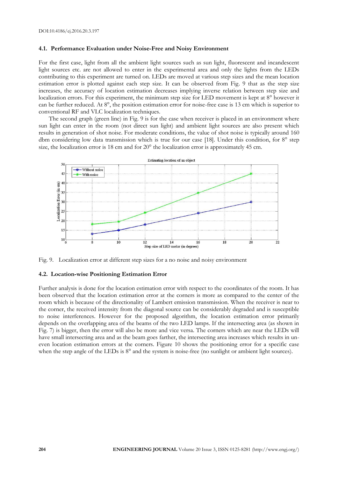#### **4.1. Performance Evaluation under Noise-Free and Noisy Environment**

For the first case, light from all the ambient light sources such as sun light, fluorescent and incandescent light sources etc. are not allowed to enter in the experimental area and only the lights from the LEDs contributing to this experiment are turned on. LEDs are moved at various step sizes and the mean location estimation error is plotted against each step size. It can be observed from Fig. 9 that as the step size increases, the accuracy of location estimation decreases implying inverse relation between step size and localization errors. For this experiment, the minimum step size for LED movement is kept at 8° however it can be further reduced. At 8°, the position estimation error for noise-free case is 13 cm which is superior to conventional RF and VLC localization techniques.

The second graph (green line) in Fig. 9 is for the case when receiver is placed in an environment where sun light can enter in the room (not direct sun light) and ambient light sources are also present which results in generation of shot noise. For moderate conditions, the value of shot noise is typically around 160 dbm considering low data transmission which is true for our case [18]. Under this condition, for 8° step size, the localization error is 18 cm and for 20° the localization error is approximately 45 cm.



Fig. 9. Localization error at different step sizes for a no noise and noisy environment

#### **4.2. Location-wise Positioning Estimation Error**

Further analysis is done for the location estimation error with respect to the coordinates of the room. It has been observed that the location estimation error at the corners is more as compared to the center of the room which is because of the directionality of Lambert emission transmission. When the receiver is near to the corner, the received intensity from the diagonal source can be considerably degraded and is susceptible to noise interferences. However for the proposed algorithm, the location estimation error primarily depends on the overlapping area of the beams of the two LED lamps. If the intersecting area (as shown in Fig. 7) is bigger, then the error will also be more and vice versa. The corners which are near the LEDs will have small intersecting area and as the beam goes farther, the intersecting area increases which results in uneven location estimation errors at the corners. Figure 10 shows the positioning error for a specific case when the step angle of the LEDs is  $8^\circ$  and the system is noise-free (no sunlight or ambient light sources).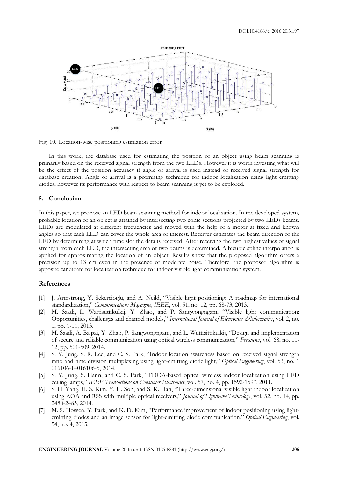

Fig. 10. Location-wise positioning estimation error

In this work, the database used for estimating the position of an object using beam scanning is primarily based on the received signal strength from the two LEDs. However it is worth investing what will be the effect of the position accuracy if angle of arrival is used instead of received signal strength for database creation. Angle of arrival is a promising technique for indoor localization using light emitting diodes, however its performance with respect to beam scanning is yet to be explored.

# **5. Conclusion**

In this paper, we propose an LED beam scanning method for indoor localization. In the developed system, probable location of an object is attained by intersecting two conic sections projected by two LEDs beams. LEDs are modulated at different frequencies and moved with the help of a motor at fixed and known angles so that each LED can cover the whole area of interest. Receiver estimates the beam direction of the LED by determining at which time slot the data is received. After receiving the two highest values of signal strength from each LED, the intersecting area of two beams is determined. A bicubic spline interpolation is applied for approximating the location of an object. Results show that the proposed algorithm offers a precision up to 13 cm even in the presence of moderate noise. Therefore, the proposed algorithm is apposite candidate for localization technique for indoor visible light communication system.

# **References**

- [1] J. Armstrong, Y. Sekercioglu, and A. Neild, "Visible light positioning: A roadmap for international standardization," *Communications Magazine, IEEE*, vol. 51, no. 12, pp. 68-73, 2013.
- [2] M. Saadi, L. Wattisuttikulkij, Y. Zhao, and P. Sangwongngam, "Visible light communication: Opportunities, challenges and channel models," *International Journal of Electronics &Informatics*, vol. 2, no. 1, pp. 1-11, 2013.
- [3] M. Saadi, A. Bajpai, Y. Zhao, P. Sangwongngam, and L. Wuttisittikulkij, "Design and implementation of secure and reliable communication using optical wireless communication," *Frequenz*, vol. 68, no. 11- 12, pp. 501-509, 2014.
- [4] S. Y. Jung, S. R. Lee, and C. S. Park, "Indoor location awareness based on received signal strength ratio and time division multiplexing using light-emitting diode light," *Optical Engineering*, vol. 53, no. 1 016106-1–016106-5, 2014.
- [5] S. Y. Jung, S. Hann, and C. S. Park, "TDOA-based optical wireless indoor localization using LED ceiling lamps," *IEEE Transactions on Consumer Electronics*, vol. 57, no. 4, pp. 1592-1597, 2011.
- [6] S. H. Yang, H. S. Kim, Y. H. Son, and S. K. Han, "Three-dimensional visible light indoor localization using AOA and RSS with multiple optical receivers," *Journal of Lightwave Technology*, vol. 32, no. 14, pp. 2480-2485, 2014.
- [7] M. S. Hossen, Y. Park, and K. D. Kim, "Performance improvement of indoor positioning using lightemitting diodes and an image sensor for light-emitting diode communication," *Optical Engineering*, vol. 54, no. 4, 2015.